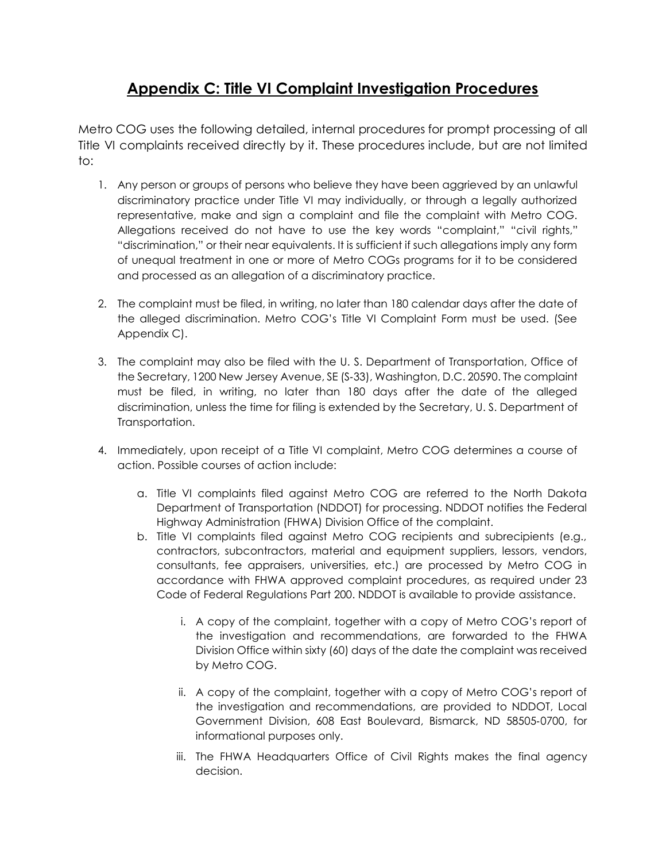## **Appendix C: Title VI Complaint Investigation Procedures**

Metro COG uses the following detailed, internal procedures for prompt processing of all Title VI complaints received directly by it. These procedures include, but are not limited to:

- 1. Any person or groups of persons who believe they have been aggrieved by an unlawful discriminatory practice under Title VI may individually, or through a legally authorized representative, make and sign a complaint and file the complaint with Metro COG. Allegations received do not have to use the key words "complaint," "civil rights," "discrimination," or their near equivalents. It is sufficient if such allegations imply any form of unequal treatment in one or more of Metro COGs programs for it to be considered and processed as an allegation of a discriminatory practice.
- 2. The complaint must be filed, in writing, no later than 180 calendar days after the date of the alleged discrimination. Metro COG's Title VI Complaint Form must be used. (See Appendix C).
- 3. The complaint may also be filed with the U. S. Department of Transportation, Office of the Secretary, 1200 New Jersey Avenue, SE (S‐33), Washington, D.C. 20590. The complaint must be filed, in writing, no later than 180 days after the date of the alleged discrimination, unless the time for filing is extended by the Secretary, U. S. Department of Transportation.
- 4. Immediately, upon receipt of a Title VI complaint, Metro COG determines a course of action. Possible courses of action include:
	- a. Title VI complaints filed against Metro COG are referred to the North Dakota Department of Transportation (NDDOT) for processing. NDDOT notifies the Federal Highway Administration (FHWA) Division Office of the complaint.
	- b. Title VI complaints filed against Metro COG recipients and subrecipients (e.g., contractors, subcontractors, material and equipment suppliers, lessors, vendors, consultants, fee appraisers, universities, etc.) are processed by Metro COG in accordance with FHWA approved complaint procedures, as required under 23 Code of Federal Regulations Part 200. NDDOT is available to provide assistance.
		- i. A copy of the complaint, together with a copy of Metro COG's report of the investigation and recommendations, are forwarded to the FHWA Division Office within sixty (60) days of the date the complaint was received by Metro COG.
		- ii. A copy of the complaint, together with a copy of Metro COG's report of the investigation and recommendations, are provided to NDDOT, Local Government Division, 608 East Boulevard, Bismarck, ND 58505‐0700, for informational purposes only.
		- iii. The FHWA Headquarters Office of Civil Rights makes the final agency decision.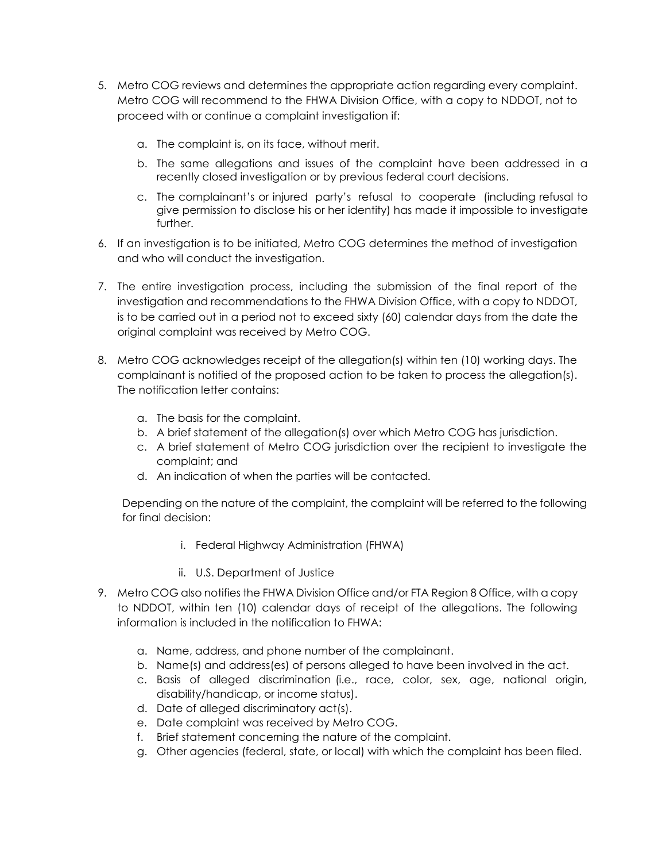- 5. Metro COG reviews and determines the appropriate action regarding every complaint. Metro COG will recommend to the FHWA Division Office, with a copy to NDDOT, not to proceed with or continue a complaint investigation if:
	- a. The complaint is, on its face, without merit.
	- b. The same allegations and issues of the complaint have been addressed in a recently closed investigation or by previous federal court decisions.
	- c. The complainant's or injured party's refusal to cooperate (including refusal to give permission to disclose his or her identity) has made it impossible to investigate further.
- 6. If an investigation is to be initiated, Metro COG determines the method of investigation and who will conduct the investigation.
- 7. The entire investigation process, including the submission of the final report of the investigation and recommendations to the FHWA Division Office, with a copy to NDDOT, is to be carried out in a period not to exceed sixty (60) calendar days from the date the original complaint was received by Metro COG.
- 8. Metro COG acknowledges receipt of the allegation(s) within ten (10) working days. The complainant is notified of the proposed action to be taken to process the allegation(s). The notification letter contains:
	- a. The basis for the complaint.
	- b. A brief statement of the allegation(s) over which Metro COG has jurisdiction.
	- c. A brief statement of Metro COG jurisdiction over the recipient to investigate the complaint; and
	- d. An indication of when the parties will be contacted.

Depending on the nature of the complaint, the complaint will be referred to the following for final decision:

- i. Federal Highway Administration (FHWA)
- ii. U.S. Department of Justice
- 9. Metro COG also notifies the FHWA Division Office and/or FTA Region 8 Office, with a copy to NDDOT, within ten (10) calendar days of receipt of the allegations. The following information is included in the notification to FHWA:
	- a. Name, address, and phone number of the complainant.
	- b. Name(s) and address(es) of persons alleged to have been involved in the act.
	- c. Basis of alleged discrimination (i.e., race, color, sex, age, national origin, disability/handicap, or income status).
	- d. Date of alleged discriminatory act(s).
	- e. Date complaint was received by Metro COG.
	- f. Brief statement concerning the nature of the complaint.
	- g. Other agencies (federal, state, or local) with which the complaint has been filed.